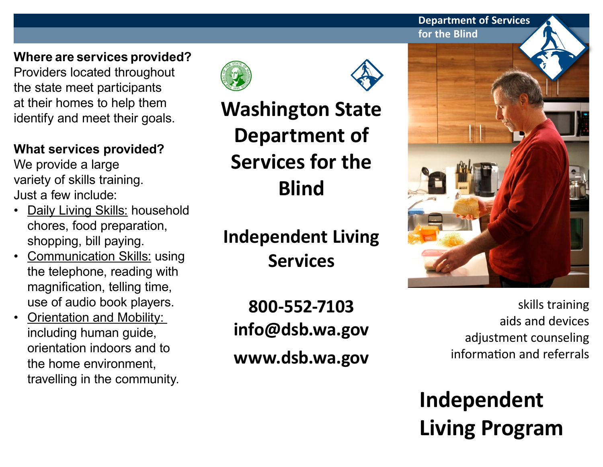**Department of Services for the Blind**

# **Where are services provided?**

Providers located throughout the state meet participants at their homes to help them identify and meet their goals.

### **What services provided?**

We provide a large variety of skills training. Just a few include:

- Daily Living Skills: household chores, food preparation, shopping, bill paying.
- **Communication Skills: using** the telephone, reading with magnification, telling time, use of audio book players.
- **Orientation and Mobility:** including human guide, orientation indoors and to the home environment, travelling in the community.



**Washington State Department of Services for the Blind**

**Independent Living Services**

**800-552-7103 info@dsb.wa.gov www.dsb.wa.gov**



skills training aids and devices adjustment counseling information and referrals

**Independent Living Program**